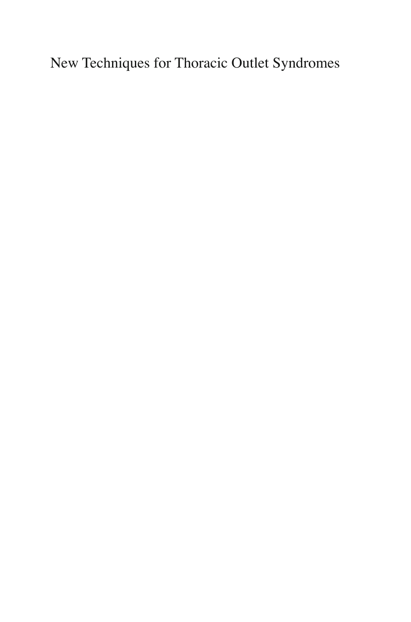New Techniques for Thoracic Outlet Syndromes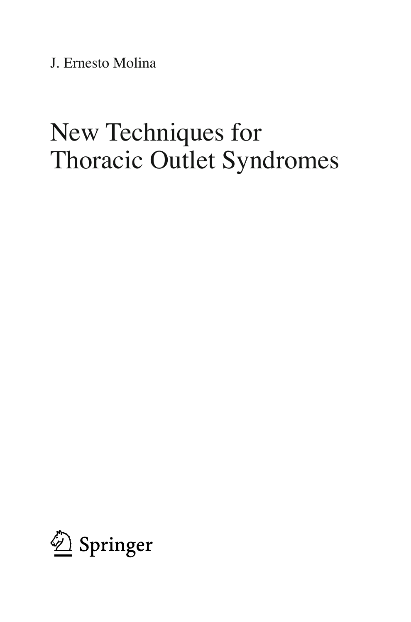J. Ernesto Molina

# New Techniques for Thoracic Outlet Syndromes

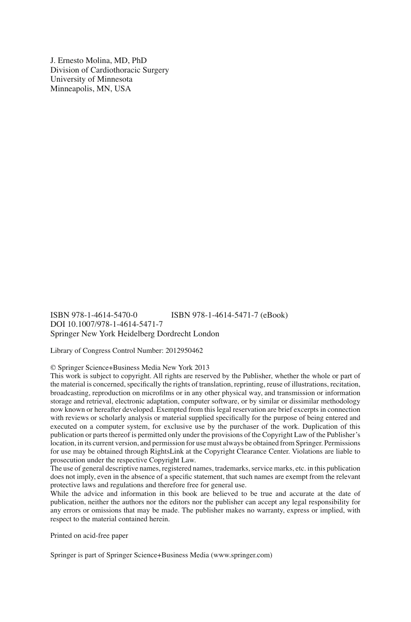J. Ernesto Molina, MD, PhD Division of Cardiothoracic Surgery University of Minnesota Minneapolis, MN, USA

 ISBN 978-1-4614-5470-0 ISBN 978-1-4614-5471-7 (eBook) DOI 10.1007/978-1-4614-5471-7 Springer New York Heidelberg Dordrecht London

Library of Congress Control Number: 2012950462

#### © Springer Science+Business Media New York 2013

 This work is subject to copyright. All rights are reserved by the Publisher, whether the whole or part of the material is concerned, specifically the rights of translation, reprinting, reuse of illustrations, recitation, broadcasting, reproduction on microfilms or in any other physical way, and transmission or information storage and retrieval, electronic adaptation, computer software, or by similar or dissimilar methodology now known or hereafter developed. Exempted from this legal reservation are brief excerpts in connection with reviews or scholarly analysis or material supplied specifically for the purpose of being entered and executed on a computer system, for exclusive use by the purchaser of the work. Duplication of this publication or parts thereof is permitted only under the provisions of the Copyright Law of the Publisher's location, in its current version, and permission for use must always be obtained from Springer. Permissions for use may be obtained through RightsLink at the Copyright Clearance Center. Violations are liable to prosecution under the respective Copyright Law.

 The use of general descriptive names, registered names, trademarks, service marks, etc. in this publication does not imply, even in the absence of a specific statement, that such names are exempt from the relevant protective laws and regulations and therefore free for general use.

 While the advice and information in this book are believed to be true and accurate at the date of publication, neither the authors nor the editors nor the publisher can accept any legal responsibility for any errors or omissions that may be made. The publisher makes no warranty, express or implied, with respect to the material contained herein.

Printed on acid-free paper

Springer is part of Springer Science+Business Media (www.springer.com)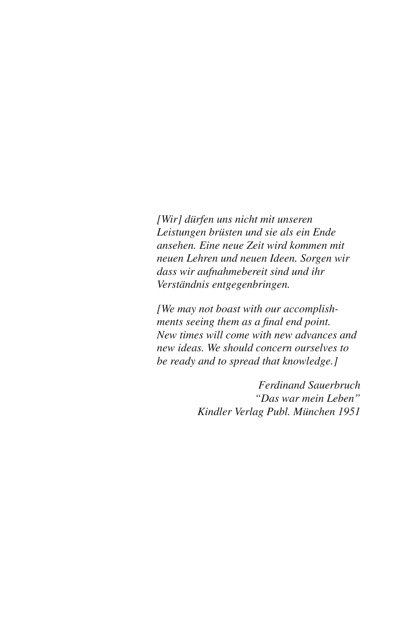*[Wir] dürfen uns nicht mit unseren Leistungen brüsten und sie als ein Ende ansehen. Eine neue Zeit wird kommen mit neuen Lehren und neuen Ideen. Sorgen wir dass wir aufnahmebereit sind und ihr Verständnis entgegenbringen.* 

 *[We may not boast with our accomplishments seeing them as a final end point. New times will come with new advances and new ideas. We should concern ourselves to be ready and to spread that knowledge.]* 

> *Ferdinand Sauerbruch "Das war mein Leben" Kindler Verlag Publ. München 1951*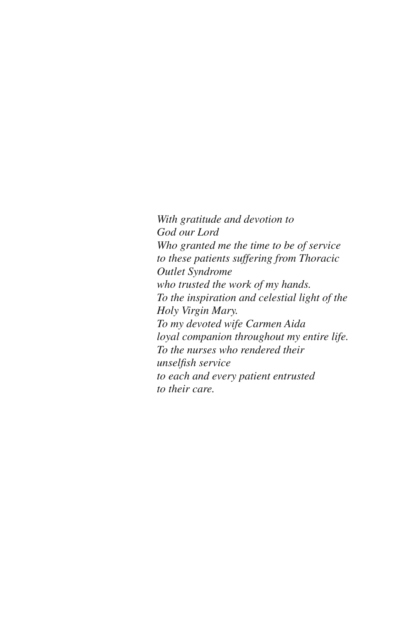*With gratitude and devotion to God our Lord Who granted me the time to be of service to these patients suffering from Thoracic Outlet Syndrome who trusted the work of my hands. To the inspiration and celestial light of the Holy Virgin Mary. To my devoted wife Carmen Aida loyal companion throughout my entire life. To the nurses who rendered their unsel fi sh service to each and every patient entrusted to their care.*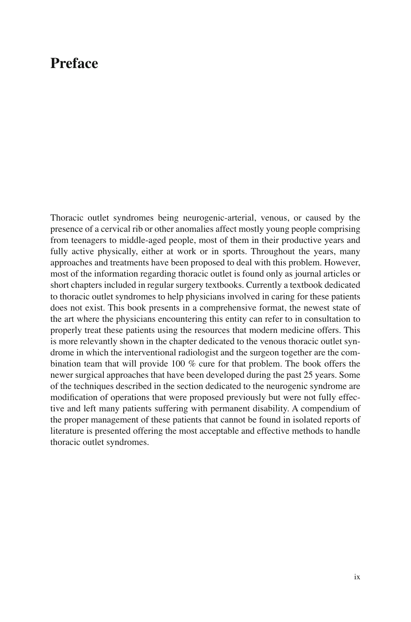# **Preface**

 Thoracic outlet syndromes being neurogenic-arterial, venous, or caused by the presence of a cervical rib or other anomalies affect mostly young people comprising from teenagers to middle-aged people, most of them in their productive years and fully active physically, either at work or in sports. Throughout the years, many approaches and treatments have been proposed to deal with this problem. However, most of the information regarding thoracic outlet is found only as journal articles or short chapters included in regular surgery textbooks. Currently a textbook dedicated to thoracic outlet syndromes to help physicians involved in caring for these patients does not exist. This book presents in a comprehensive format, the newest state of the art where the physicians encountering this entity can refer to in consultation to properly treat these patients using the resources that modern medicine offers. This is more relevantly shown in the chapter dedicated to the venous thoracic outlet syndrome in which the interventional radiologist and the surgeon together are the combination team that will provide 100 % cure for that problem. The book offers the newer surgical approaches that have been developed during the past 25 years. Some of the techniques described in the section dedicated to the neurogenic syndrome are modification of operations that were proposed previously but were not fully effective and left many patients suffering with permanent disability. A compendium of the proper management of these patients that cannot be found in isolated reports of literature is presented offering the most acceptable and effective methods to handle thoracic outlet syndromes.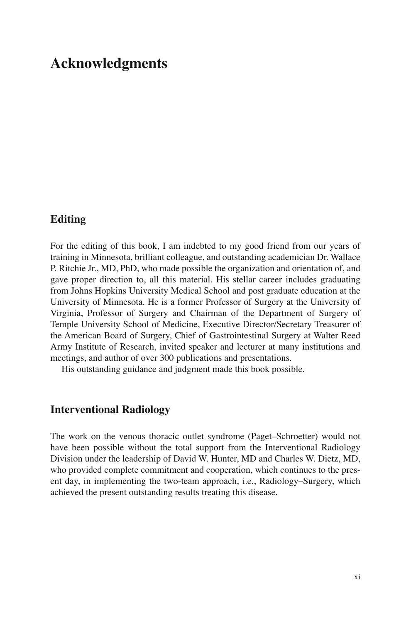# **Acknowledgments**

### **Editing**

 For the editing of this book, I am indebted to my good friend from our years of training in Minnesota, brilliant colleague, and outstanding academician Dr. Wallace P. Ritchie Jr., MD, PhD, who made possible the organization and orientation of, and gave proper direction to, all this material. His stellar career includes graduating from Johns Hopkins University Medical School and post graduate education at the University of Minnesota. He is a former Professor of Surgery at the University of Virginia, Professor of Surgery and Chairman of the Department of Surgery of Temple University School of Medicine, Executive Director/Secretary Treasurer of the American Board of Surgery, Chief of Gastrointestinal Surgery at Walter Reed Army Institute of Research, invited speaker and lecturer at many institutions and meetings, and author of over 300 publications and presentations.

His outstanding guidance and judgment made this book possible.

### **Interventional Radiology**

 The work on the venous thoracic outlet syndrome (Paget–Schroetter) would not have been possible without the total support from the Interventional Radiology Division under the leadership of David W. Hunter, MD and Charles W. Dietz, MD, who provided complete commitment and cooperation, which continues to the present day, in implementing the two-team approach, i.e., Radiology–Surgery, which achieved the present outstanding results treating this disease.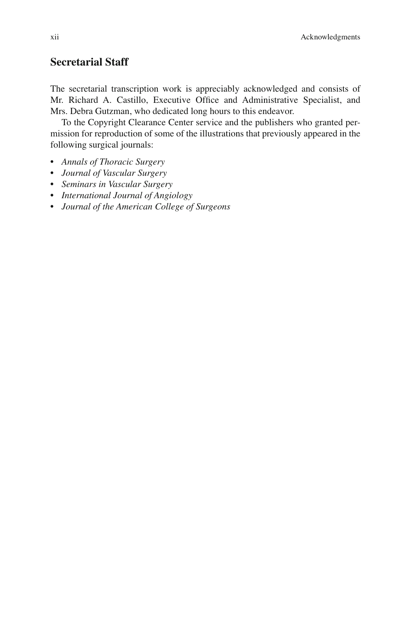### **Secretarial Staff**

 The secretarial transcription work is appreciably acknowledged and consists of Mr. Richard A. Castillo, Executive Office and Administrative Specialist, and Mrs. Debra Gutzman, who dedicated long hours to this endeavor.

 To the Copyright Clearance Center service and the publishers who granted permission for reproduction of some of the illustrations that previously appeared in the following surgical journals:

- *Annals of Thoracic Surgery*
- *Journal of Vascular Surgery*
- *Seminars in Vascular Surgery*
- *International Journal of Angiology*
- *Journal of the American College of Surgeons*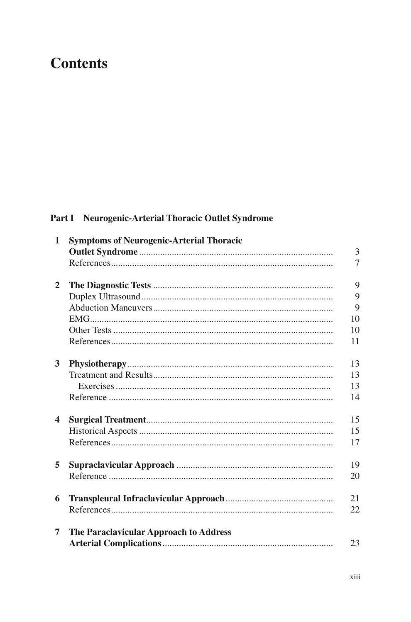# **Contents**

### Part I Neurogenic-Arterial Thoracic Outlet Syndrome

| 1                       | <b>Symptoms of Neurogenic-Arterial Thoracic</b> |                |
|-------------------------|-------------------------------------------------|----------------|
|                         |                                                 | 3              |
|                         |                                                 | $\overline{7}$ |
| $\mathbf{2}$            |                                                 | 9              |
|                         |                                                 | 9              |
|                         |                                                 | 9              |
|                         |                                                 | 10             |
|                         |                                                 | 10             |
|                         |                                                 | 11             |
| 3                       |                                                 | 13             |
|                         |                                                 | 13             |
|                         |                                                 | 13             |
|                         |                                                 | 14             |
| $\overline{\mathbf{4}}$ |                                                 | 15             |
|                         |                                                 | 15             |
|                         |                                                 | 17             |
| 5                       |                                                 | 19             |
|                         |                                                 | 20             |
| 6                       |                                                 | 21             |
|                         |                                                 | 22             |
| 7                       | The Paraclavicular Approach to Address          |                |
|                         |                                                 | 23             |
|                         |                                                 |                |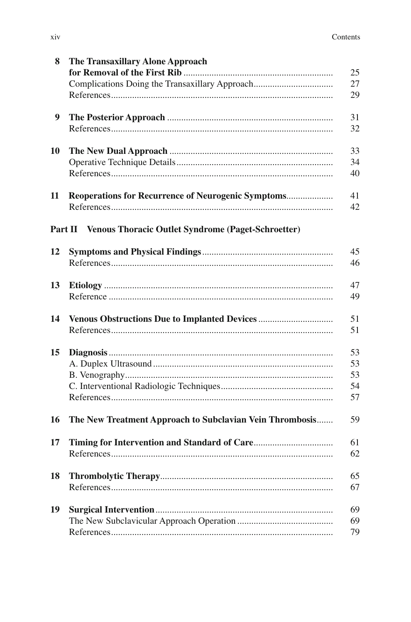| 8  | The Transaxillary Alone Approach                                     | 25 |
|----|----------------------------------------------------------------------|----|
|    | Complications Doing the Transaxillary Approach                       | 27 |
|    |                                                                      | 29 |
|    |                                                                      |    |
| 9  |                                                                      | 31 |
|    |                                                                      | 32 |
| 10 |                                                                      | 33 |
|    |                                                                      | 34 |
|    |                                                                      | 40 |
| 11 | Reoperations for Recurrence of Neurogenic Symptoms                   | 41 |
|    |                                                                      | 42 |
|    |                                                                      |    |
|    | <b>Venous Thoracic Outlet Syndrome (Paget-Schroetter)</b><br>Part II |    |
| 12 |                                                                      | 45 |
|    |                                                                      | 46 |
| 13 |                                                                      | 47 |
|    |                                                                      | 49 |
| 14 |                                                                      | 51 |
|    |                                                                      | 51 |
| 15 |                                                                      | 53 |
|    |                                                                      | 53 |
|    |                                                                      | 53 |
|    |                                                                      | 54 |
|    |                                                                      | 57 |
| 16 | The New Treatment Approach to Subclavian Vein Thrombosis             | 59 |
|    |                                                                      |    |
| 17 |                                                                      | 61 |
|    |                                                                      | 62 |
| 18 |                                                                      | 65 |
|    |                                                                      | 67 |
| 19 |                                                                      | 69 |

|  | 69 |
|--|----|
|  | 69 |
|  | 79 |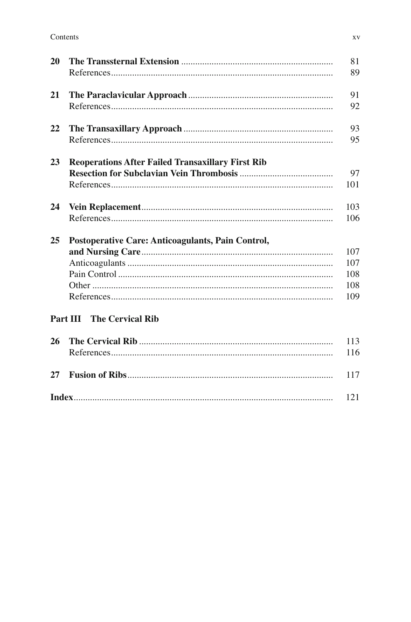| 20 |                                                          | 81<br>89 |
|----|----------------------------------------------------------|----------|
| 21 |                                                          | 91       |
|    |                                                          | 92       |
| 22 |                                                          | 93       |
|    |                                                          | 95       |
| 23 | <b>Reoperations After Failed Transaxillary First Rib</b> |          |
|    |                                                          | 97       |
|    |                                                          | 101      |
| 24 |                                                          | 103      |
|    |                                                          | 106      |
| 25 | Postoperative Care: Anticoagulants, Pain Control,        |          |
|    |                                                          | 107      |
|    |                                                          | 107      |
|    |                                                          | 108      |
|    |                                                          | 108      |
|    |                                                          | 109      |
|    | Part III The Cervical Rib                                |          |
| 26 |                                                          | 113      |
|    |                                                          | 116      |
| 27 |                                                          | 117      |
|    |                                                          | 121      |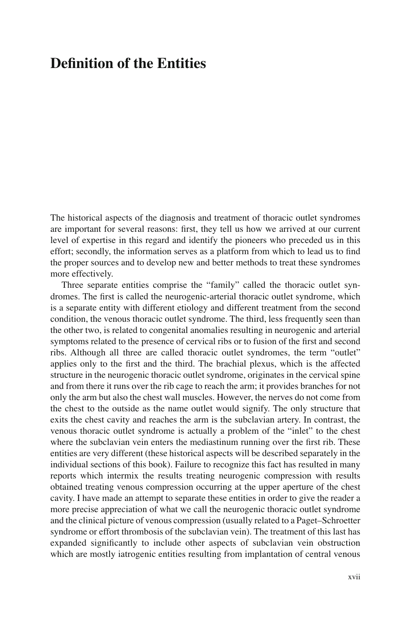# **Definition of the Entities**

 The historical aspects of the diagnosis and treatment of thoracic outlet syndromes are important for several reasons: first, they tell us how we arrived at our current level of expertise in this regard and identify the pioneers who preceded us in this effort; secondly, the information serves as a platform from which to lead us to find the proper sources and to develop new and better methods to treat these syndromes more effectively.

 Three separate entities comprise the "family" called the thoracic outlet syndromes. The first is called the neurogenic-arterial thoracic outlet syndrome, which is a separate entity with different etiology and different treatment from the second condition, the venous thoracic outlet syndrome. The third, less frequently seen than the other two, is related to congenital anomalies resulting in neurogenic and arterial symptoms related to the presence of cervical ribs or to fusion of the first and second ribs. Although all three are called thoracic outlet syndromes, the term "outlet" applies only to the first and the third. The brachial plexus, which is the affected structure in the neurogenic thoracic outlet syndrome, originates in the cervical spine and from there it runs over the rib cage to reach the arm; it provides branches for not only the arm but also the chest wall muscles. However, the nerves do not come from the chest to the outside as the name outlet would signify. The only structure that exits the chest cavity and reaches the arm is the subclavian artery. In contrast, the venous thoracic outlet syndrome is actually a problem of the "inlet" to the chest where the subclavian vein enters the mediastinum running over the first rib. These entities are very different (these historical aspects will be described separately in the individual sections of this book). Failure to recognize this fact has resulted in many reports which intermix the results treating neurogenic compression with results obtained treating venous compression occurring at the upper aperture of the chest cavity. I have made an attempt to separate these entities in order to give the reader a more precise appreciation of what we call the neurogenic thoracic outlet syndrome and the clinical picture of venous compression (usually related to a Paget–Schroetter syndrome or effort thrombosis of the subclavian vein). The treatment of this last has expanded significantly to include other aspects of subclavian vein obstruction which are mostly iatrogenic entities resulting from implantation of central venous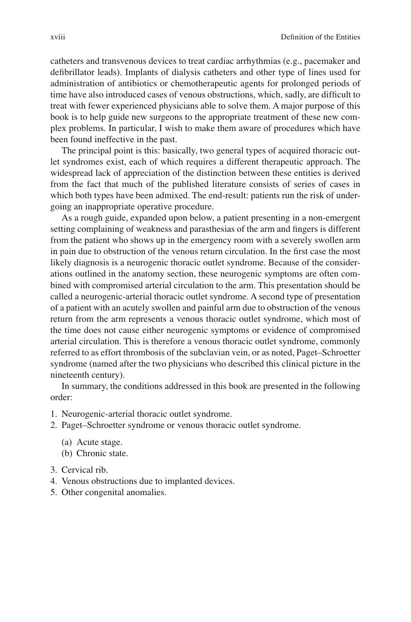catheters and transvenous devices to treat cardiac arrhythmias (e.g., pacemaker and defibrillator leads). Implants of dialysis catheters and other type of lines used for administration of antibiotics or chemotherapeutic agents for prolonged periods of time have also introduced cases of venous obstructions, which, sadly, are difficult to treat with fewer experienced physicians able to solve them. A major purpose of this book is to help guide new surgeons to the appropriate treatment of these new complex problems. In particular, I wish to make them aware of procedures which have been found ineffective in the past.

 The principal point is this: basically, two general types of acquired thoracic outlet syndromes exist, each of which requires a different therapeutic approach. The widespread lack of appreciation of the distinction between these entities is derived from the fact that much of the published literature consists of series of cases in which both types have been admixed. The end-result: patients run the risk of undergoing an inappropriate operative procedure.

 As a rough guide, expanded upon below, a patient presenting in a non-emergent setting complaining of weakness and parasthesias of the arm and fingers is different from the patient who shows up in the emergency room with a severely swollen arm in pain due to obstruction of the venous return circulation. In the first case the most likely diagnosis is a neurogenic thoracic outlet syndrome. Because of the considerations outlined in the anatomy section, these neurogenic symptoms are often combined with compromised arterial circulation to the arm. This presentation should be called a neurogenic-arterial thoracic outlet syndrome. A second type of presentation of a patient with an acutely swollen and painful arm due to obstruction of the venous return from the arm represents a venous thoracic outlet syndrome, which most of the time does not cause either neurogenic symptoms or evidence of compromised arterial circulation. This is therefore a venous thoracic outlet syndrome, commonly referred to as effort thrombosis of the subclavian vein, or as noted, Paget–Schroetter syndrome (named after the two physicians who described this clinical picture in the nineteenth century).

 In summary, the conditions addressed in this book are presented in the following order:

- 1. Neurogenic-arterial thoracic outlet syndrome.
- 2. Paget–Schroetter syndrome or venous thoracic outlet syndrome.
	- (a) Acute stage.
	- (b) Chronic state.
- 3. Cervical rib.
- 4. Venous obstructions due to implanted devices.
- 5. Other congenital anomalies.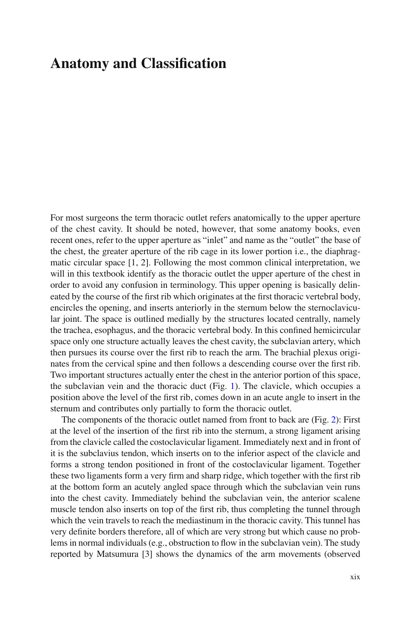## **Anatomy and Classification**

 For most surgeons the term thoracic outlet refers anatomically to the upper aperture of the chest cavity. It should be noted, however, that some anatomy books, even recent ones, refer to the upper aperture as "inlet" and name as the "outlet" the base of the chest, the greater aperture of the rib cage in its lower portion i.e., the diaphragmatic circular space [1, 2]. Following the most common clinical interpretation, we will in this textbook identify as the thoracic outlet the upper aperture of the chest in order to avoid any confusion in terminology. This upper opening is basically delineated by the course of the first rib which originates at the first thoracic vertebral body, encircles the opening, and inserts anteriorly in the sternum below the sternoclavicular joint. The space is outlined medially by the structures located centrally, namely the trachea, esophagus, and the thoracic vertebral body. In this confined hemicircular space only one structure actually leaves the chest cavity, the subclavian artery, which then pursues its course over the first rib to reach the arm. The brachial plexus originates from the cervical spine and then follows a descending course over the first rib. Two important structures actually enter the chest in the anterior portion of this space, the subclavian vein and the thoracic duct  $(Fig. 1)$  $(Fig. 1)$  $(Fig. 1)$ . The clavicle, which occupies a position above the level of the first rib, comes down in an acute angle to insert in the sternum and contributes only partially to form the thoracic outlet.

The components of the thoracic outlet named from front to back are (Fig. [2](#page-19-0)): First at the level of the insertion of the first rib into the sternum, a strong ligament arising from the clavicle called the costoclavicular ligament. Immediately next and in front of it is the subclavius tendon, which inserts on to the inferior aspect of the clavicle and forms a strong tendon positioned in front of the costoclavicular ligament. Together these two ligaments form a very firm and sharp ridge, which together with the first rib at the bottom form an acutely angled space through which the subclavian vein runs into the chest cavity. Immediately behind the subclavian vein, the anterior scalene muscle tendon also inserts on top of the first rib, thus completing the tunnel through which the vein travels to reach the mediastinum in the thoracic cavity. This tunnel has very definite borders therefore, all of which are very strong but which cause no problems in normal individuals (e.g., obstruction to flow in the subclavian vein). The study reported by Matsumura [3] shows the dynamics of the arm movements (observed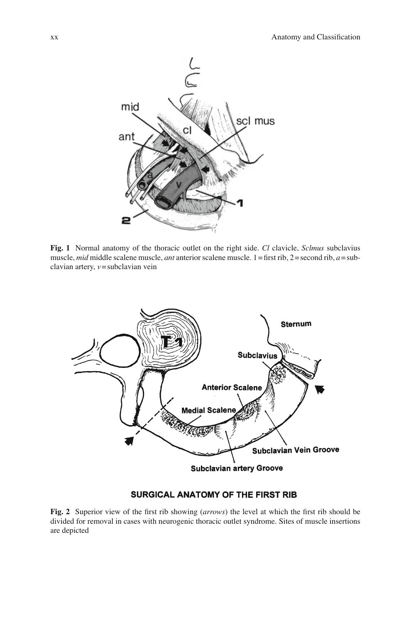<span id="page-19-0"></span>

 **Fig. 1** Normal anatomy of the thoracic outlet on the right side. *Cl* clavicle, *Sclmus* subclavius muscle, *mid* middle scalene muscle, *ant* anterior scalene muscle. 1 = first rib, 2 = second rib, *a* = subclavian artery, *v* = subclavian vein



### SURGICAL ANATOMY OF THE FIRST RIB

**Fig. 2** Superior view of the first rib showing (*arrows*) the level at which the first rib should be divided for removal in cases with neurogenic thoracic outlet syndrome. Sites of muscle insertions are depicted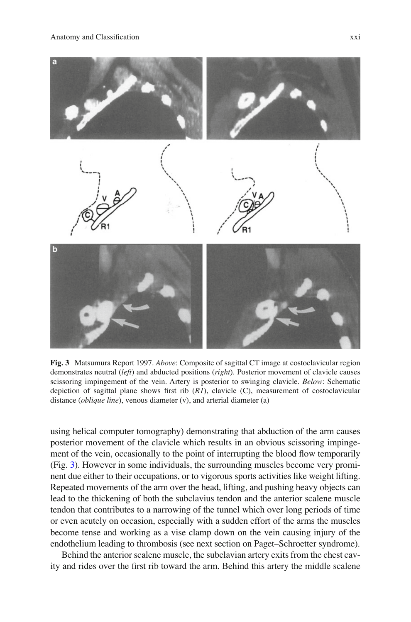

 **Fig. 3** Matsumura Report 1997. *Above*: Composite of sagittal CT image at costoclavicular region demonstrates neutral (*left*) and abducted positions (*right*). Posterior movement of clavicle causes scissoring impingement of the vein. Artery is posterior to swinging clavicle. *Below*: Schematic depiction of sagittal plane shows first rib  $(RI)$ , clavicle  $(C)$ , measurement of costoclavicular distance (*oblique line*), venous diameter (v), and arterial diameter (a)

using helical computer tomography) demonstrating that abduction of the arm causes posterior movement of the clavicle which results in an obvious scissoring impingement of the vein, occasionally to the point of interrupting the blood flow temporarily (Fig. 3). However in some individuals, the surrounding muscles become very prominent due either to their occupations, or to vigorous sports activities like weight lifting. Repeated movements of the arm over the head, lifting, and pushing heavy objects can lead to the thickening of both the subclavius tendon and the anterior scalene muscle tendon that contributes to a narrowing of the tunnel which over long periods of time or even acutely on occasion, especially with a sudden effort of the arms the muscles become tense and working as a vise clamp down on the vein causing injury of the endothelium leading to thrombosis (see next section on Paget–Schroetter syndrome).

 Behind the anterior scalene muscle, the subclavian artery exits from the chest cavity and rides over the first rib toward the arm. Behind this artery the middle scalene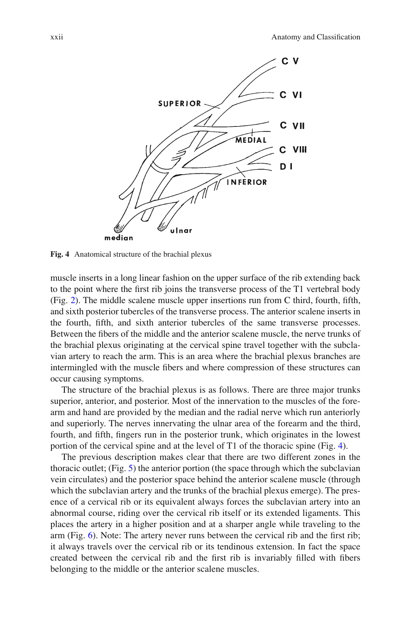

 **Fig. 4** Anatomical structure of the brachial plexus

muscle inserts in a long linear fashion on the upper surface of the rib extending back to the point where the first rib joins the transverse process of the T1 vertebral body  $(Fig. 2)$  $(Fig. 2)$  $(Fig. 2)$ . The middle scalene muscle upper insertions run from C third, fourth, fifth, and sixth posterior tubercles of the transverse process. The anterior scalene inserts in the fourth, fifth, and sixth anterior tubercles of the same transverse processes. Between the fibers of the middle and the anterior scalene muscle, the nerve trunks of the brachial plexus originating at the cervical spine travel together with the subclavian artery to reach the arm. This is an area where the brachial plexus branches are intermingled with the muscle fibers and where compression of these structures can occur causing symptoms.

 The structure of the brachial plexus is as follows. There are three major trunks superior, anterior, and posterior. Most of the innervation to the muscles of the forearm and hand are provided by the median and the radial nerve which run anteriorly and superiorly. The nerves innervating the ulnar area of the forearm and the third, fourth, and fifth, fingers run in the posterior trunk, which originates in the lowest portion of the cervical spine and at the level of T1 of the thoracic spine (Fig. 4).

 The previous description makes clear that there are two different zones in the thoracic outlet; (Fig.  $5$ ) the anterior portion (the space through which the subclavian vein circulates) and the posterior space behind the anterior scalene muscle (through which the subclavian artery and the trunks of the brachial plexus emerge). The presence of a cervical rib or its equivalent always forces the subclavian artery into an abnormal course, riding over the cervical rib itself or its extended ligaments. This places the artery in a higher position and at a sharper angle while traveling to the arm (Fig.  $6$ ). Note: The artery never runs between the cervical rib and the first rib; it always travels over the cervical rib or its tendinous extension. In fact the space created between the cervical rib and the first rib is invariably filled with fibers belonging to the middle or the anterior scalene muscles.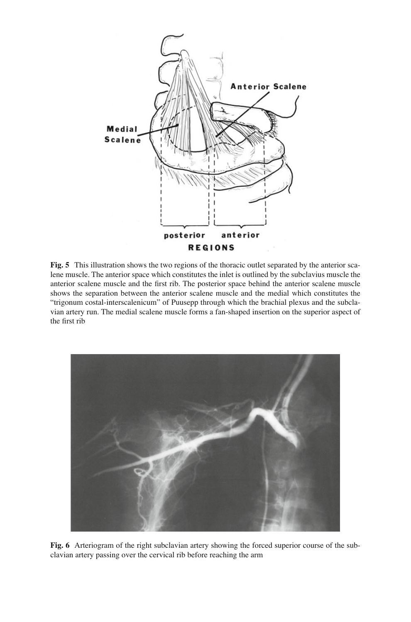<span id="page-22-0"></span>

 **Fig. 5** This illustration shows the two regions of the thoracic outlet separated by the anterior scalene muscle. The anterior space which constitutes the inlet is outlined by the subclavius muscle the anterior scalene muscle and the first rib. The posterior space behind the anterior scalene muscle shows the separation between the anterior scalene muscle and the medial which constitutes the "trigonum costal-interscalenicum" of Puusepp through which the brachial plexus and the subclavian artery run. The medial scalene muscle forms a fan-shaped insertion on the superior aspect of the first rib



 **Fig. 6** Arteriogram of the right subclavian artery showing the forced superior course of the subclavian artery passing over the cervical rib before reaching the arm